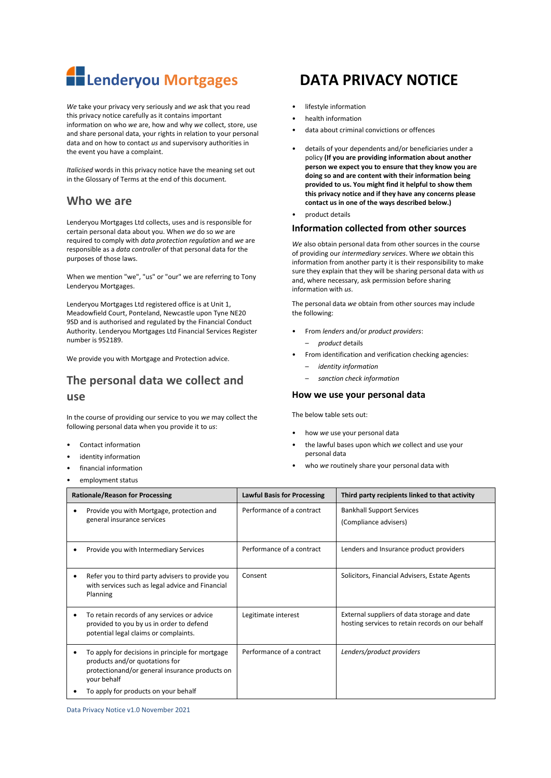

*We* take your privacy very seriously and *we* ask that you read this privacy notice carefully as it contains important information on who *we* are, how and why *we* collect, store, use and share personal data, your rights in relation to your personal data and on how to contact *us* and supervisory authorities in the event you have a complaint.

*Italicised* words in this privacy notice have the meaning set out in the Glossary of Terms at the end of this document.

## **Who we are**

Lenderyou Mortgages Ltd collects, uses and is responsible for certain personal data about you. When *we* do so *we* are required to comply with *data protection regulation* and *we* are responsible as a *data controller* of that personal data for the purposes of those laws.

When we mention "we", "us" or "our" we are referring to Tony Lenderyou Mortgages.

Lenderyou Mortgages Ltd registered office is at Unit 1, Meadowfield Court, Ponteland, Newcastle upon Tyne NE20 9SD and is authorised and regulated by the Financial Conduct Authority. Lenderyou Mortgages Ltd Financial Services Register number is 952189.

We provide you with Mortgage and Protection advice.

# **The personal data we collect and use**

In the course of providing our service to you *we* may collect the following personal data when you provide it to *us*:

- Contact information
- identity information
- financial information
- employment status
- 
- lifestyle information
- health information
- data about criminal convictions or offences
- details of your dependents and/or beneficiaries under a policy **(If you are providing information about another person we expect you to ensure that they know you are doing so and are content with their information being provided to us. You might find it helpful to show them this privacy notice and if they have any concerns please contact us in one of the ways described below.)**
- product details

### **Information collected from other sources**

*We* also obtain personal data from other sources in the course of providing our *intermediary services*. Where *we* obtain this information from another party it is their responsibility to make sure they explain that they will be sharing personal data with *us* and, where necessary, ask permission before sharing information with *us*.

The personal data *we* obtain from other sources may include the following:

- From *lenders* and/or *product providers*:
	- *product* details
- From identification and verification checking agencies:
	- *identity information*
	- *sanction check information*

#### **How we use your personal data**

The below table sets out:

- how *we* use your personal data
- the lawful bases upon which *we* collect and use your personal data
- who we routinely share your personal data with

| <b>Rationale/Reason for Processing</b>                                                                                                                                                      | <b>Lawful Basis for Processing</b> | Third party recipients linked to that activity                                                  |
|---------------------------------------------------------------------------------------------------------------------------------------------------------------------------------------------|------------------------------------|-------------------------------------------------------------------------------------------------|
| Provide you with Mortgage, protection and<br>general insurance services                                                                                                                     | Performance of a contract          | <b>Bankhall Support Services</b><br>(Compliance advisers)                                       |
| Provide you with Intermediary Services                                                                                                                                                      | Performance of a contract          | Lenders and Insurance product providers                                                         |
| Refer you to third party advisers to provide you<br>with services such as legal advice and Financial<br>Planning                                                                            | Consent                            | Solicitors, Financial Advisers, Estate Agents                                                   |
| To retain records of any services or advice<br>provided to you by us in order to defend<br>potential legal claims or complaints.                                                            | Legitimate interest                | External suppliers of data storage and date<br>hosting services to retain records on our behalf |
| To apply for decisions in principle for mortgage<br>products and/or quotations for<br>protectionand/or general insurance products on<br>your behalf<br>To apply for products on your behalf | Performance of a contract          | Lenders/product providers                                                                       |

Data Privacy Notice v1.0 November 2021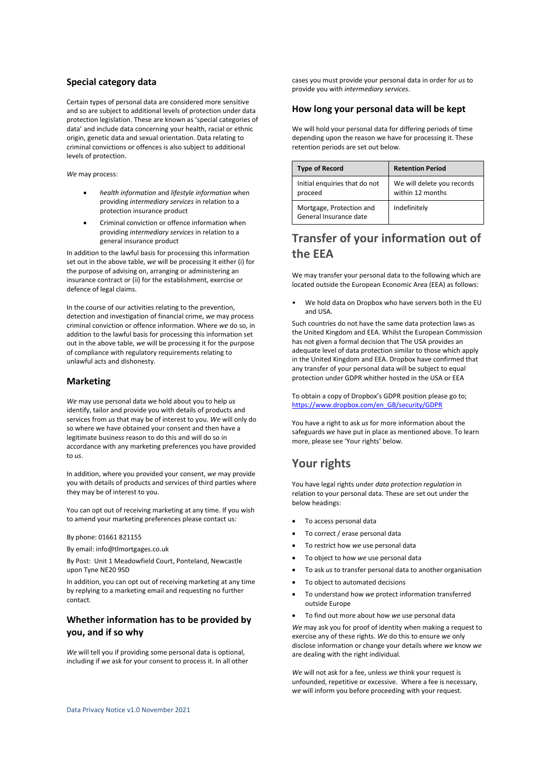### **Special category data**

Certain types of personal data are considered more sensitive and so are subject to additional levels of protection under data protection legislation. These are known as 'special categories of data' and include data concerning your health, racial or ethnic origin, genetic data and sexual orientation. Data relating to criminal convictions or offences is also subject to additional levels of protection.

*We* may process:

- *health information* and *lifestyle information* when providing *intermediary services* in relation to a protection insurance product
- Criminal conviction or offence information when providing *intermediary services* in relation to a general insurance product

In addition to the lawful basis for processing this information set out in the above table, *we* will be processing it either (i) for the purpose of advising on, arranging or administering an insurance contract or (ii) for the establishment, exercise or defence of legal claims.

In the course of our activities relating to the prevention, detection and investigation of financial crime, *we* may process criminal conviction or offence information. Where *we* do so, in addition to the lawful basis for processing this information set out in the above table, *we* will be processing it for the purpose of compliance with regulatory requirements relating to unlawful acts and dishonesty.

### **Marketing**

*We* may use personal data we hold about you to help *us* identify, tailor and provide you with details of products and services from *us* that may be of interest to you. *We* will only do so where we have obtained your consent and then have a legitimate business reason to do this and will do so in accordance with any marketing preferences you have provided to *us*.

In addition, where you provided your consent, *we* may provide you with details of products and services of third parties where they may be of interest to you.

You can opt out of receiving marketing at any time. If you wish to amend your marketing preferences please contact us:

By phone: 01661 821155

By email: info@tlmortgages.co.uk

By Post: Unit 1 Meadowfield Court, Ponteland, Newcastle upon Tyne NE20 9SD

In addition, you can opt out of receiving marketing at any time by replying to a marketing email and requesting no further contact.

## **Whether information has to be provided by you, and if so why**

*We* will tell you if providing some personal data is optional, including if *we* ask for your consent to process it. In all other cases you must provide your personal data in order for *us* to provide you with *intermediary services*.

### **How long your personal data will be kept**

We will hold your personal data for differing periods of time depending upon the reason we have for processing it. These retention periods are set out below.

| <b>Type of Record</b>                              | <b>Retention Period</b>                        |
|----------------------------------------------------|------------------------------------------------|
| Initial enquiries that do not<br>proceed           | We will delete you records<br>within 12 months |
| Mortgage, Protection and<br>General Insurance date | Indefinitely                                   |

# **Transfer of your information out of the EEA**

We may transfer your personal data to the following which are located outside the European Economic Area (EEA) as follows:

• We hold data on Dropbox who have servers both in the EU and USA.

Such countries do not have the same data protection laws as the United Kingdom and EEA. Whilst the European Commission has not given a formal decision that The USA provides an adequate level of data protection similar to those which apply in the United Kingdom and EEA. Dropbox have confirmed that any transfer of your personal data will be subject to equal protection under GDPR whither hosted in the USA or EEA

To obtain a copy of Dropbox's GDPR position please go to; [https://www.dropbox.com/en\\_GB/security/GDPR](https://www.dropbox.com/en_GB/security/GDPR)

You have a right to ask *us* for more information about the safeguards *we* have put in place as mentioned above. To learn more, please see 'Your rights' below.

# **Your rights**

You have legal rights under *data protection regulation* in relation to your personal data. These are set out under the below headings:

- To access personal data
- To correct / erase personal data
- To restrict how *we* use personal data
- To object to how *we* use personal data
- To ask *us* to transfer personal data to another organisation
- To object to automated decisions
- To understand how *we* protect information transferred outside Europe
- To find out more about how *we* use personal data

*We* may ask you for proof of identity when making a request to exercise any of these rights. *We* do this to ensure *we* only disclose information or change your details where *we* know *we* are dealing with the right individual.

*We* will not ask for a fee, unless *we* think your request is unfounded, repetitive or excessive. Where a fee is necessary, *we* will inform you before proceeding with your request.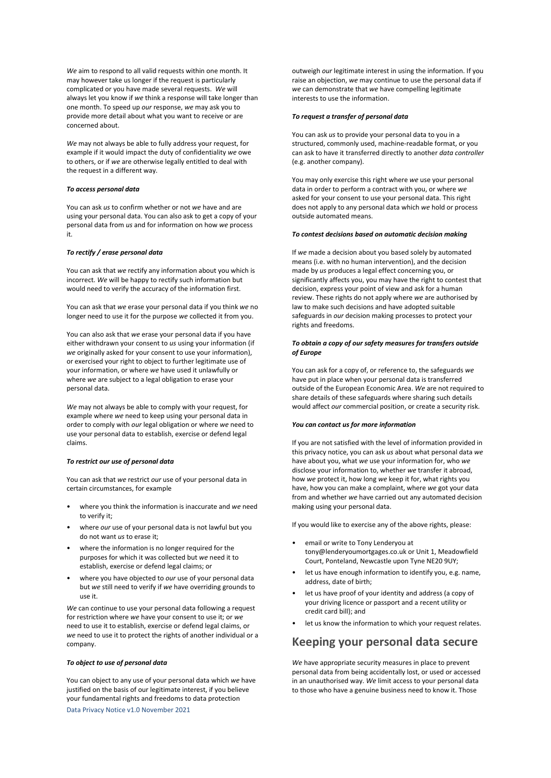*We* aim to respond to all valid requests within one month. It may however take us longer if the request is particularly complicated or you have made several requests. *We* will always let you know if *we* think a response will take longer than one month. To speed up *our* response, *we* may ask you to provide more detail about what you want to receive or are concerned about.

*We* may not always be able to fully address your request, for example if it would impact the duty of confidentiality *we* owe to others, or if *we* are otherwise legally entitled to deal with the request in a different way.

#### *To access personal data*

You can ask *us* to confirm whether or not *we* have and are using your personal data. You can also ask to get a copy of your personal data from *us* and for information on how *we* process it.

#### *To rectify / erase personal data*

You can ask that *we* rectify any information about you which is incorrect. *We* will be happy to rectify such information but would need to verify the accuracy of the information first.

You can ask that *we* erase your personal data if you think *we* no longer need to use it for the purpose *we* collected it from you.

You can also ask that *we* erase your personal data if you have either withdrawn your consent to *us* using your information (if *we* originally asked for your consent to use your information), or exercised your right to object to further legitimate use of your information, or where *we* have used it unlawfully or where *we* are subject to a legal obligation to erase your personal data.

*We* may not always be able to comply with your request, for example where *we* need to keep using your personal data in order to comply with *our* legal obligation or where *we* need to use your personal data to establish, exercise or defend legal claims.

#### *To restrict our use of personal data*

You can ask that *we* restrict *our* use of your personal data in certain circumstances, for example

- where you think the information is inaccurate and *we* need to verify it;
- where *our* use of your personal data is not lawful but you do not want *us* to erase it;
- where the information is no longer required for the purposes for which it was collected but *we* need it to establish, exercise or defend legal claims; or
- where you have objected to *our* use of your personal data but *we* still need to verify if *we* have overriding grounds to use it.

*We* can continue to use your personal data following a request for restriction where *we* have your consent to use it; or *we* need to use it to establish, exercise or defend legal claims, or *we* need to use it to protect the rights of another individual or a company.

#### *To object to use of personal data*

You can object to any use of your personal data which *we* have justified on the basis of our legitimate interest, if you believe your fundamental rights and freedoms to data protection

Data Privacy Notice v1.0 November 2021

outweigh *our* legitimate interest in using the information. If you raise an objection, *we* may continue to use the personal data if *we* can demonstrate that *we* have compelling legitimate interests to use the information.

#### *To request a transfer of personal data*

You can ask *us* to provide your personal data to you in a structured, commonly used, machine-readable format, or you can ask to have it transferred directly to another *data controller* (e.g. another company).

You may only exercise this right where *we* use your personal data in order to perform a contract with you, or where *we* asked for your consent to use your personal data. This right does not apply to any personal data which *we* hold or process outside automated means.

#### *To contest decisions based on automatic decision making*

If *we* made a decision about you based solely by automated means (i.e. with no human intervention), and the decision made by *us* produces a legal effect concerning you, or significantly affects you, you may have the right to contest that decision, express your point of view and ask for a human review. These rights do not apply where *we* are authorised by law to make such decisions and have adopted suitable safeguards in *our* decision making processes to protect your rights and freedoms.

#### *To obtain a copy of our safety measures for transfers outside of Europe*

You can ask for a copy of, or reference to, the safeguards *we* have put in place when your personal data is transferred outside of the European Economic Area. *We* are not required to share details of these safeguards where sharing such details would affect *our* commercial position, or create a security risk.

#### *You can contact us for more information*

If you are not satisfied with the level of information provided in this privacy notice, you can ask *us* about what personal data *we* have about you, what *we* use your information for, who *we* disclose your information to, whether *we* transfer it abroad, how *we* protect it, how long *we* keep it for, what rights you have, how you can make a complaint, where *we* got your data from and whether *we* have carried out any automated decision making using your personal data.

If you would like to exercise any of the above rights, please:

- email or write to Tony Lenderyou at tony@lenderyoumortgages.co.uk or Unit 1, Meadowfield Court, Ponteland, Newcastle upon Tyne NE20 9UY;
- let us have enough information to identify you, e.g. name, address, date of birth;
- let us have proof of your identity and address (a copy of your driving licence or passport and a recent utility or credit card bill); and
- let us know the information to which your request relates.

## **Keeping your personal data secure**

*We* have appropriate security measures in place to prevent personal data from being accidentally lost, or used or accessed in an unauthorised way. *We* limit access to your personal data to those who have a genuine business need to know it. Those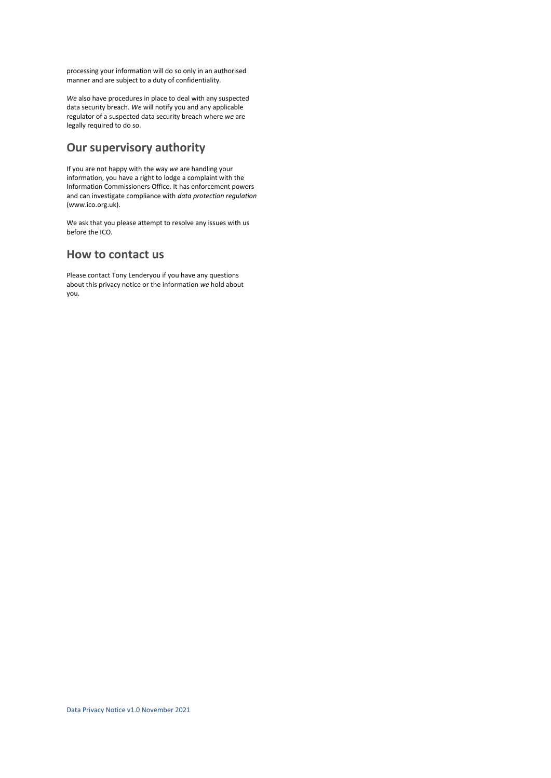processing your information will do so only in an authorised manner and are subject to a duty of confidentiality.

*We* also have procedures in place to deal with any suspected data security breach. *We* will notify you and any applicable regulator of a suspected data security breach where *we* are legally required to do so.

# **Our supervisory authority**

If you are not happy with the way *we* are handling your information, you have a right to lodge a complaint with the Information Commissioners Office. It has enforcement powers and can investigate compliance with *data protection regulation* (www.ico.org.uk).

We ask that you please attempt to resolve any issues with us before the ICO.

## **How to contact us**

Please contact Tony Lenderyou if you have any questions about this privacy notice or the information *we* hold about you.